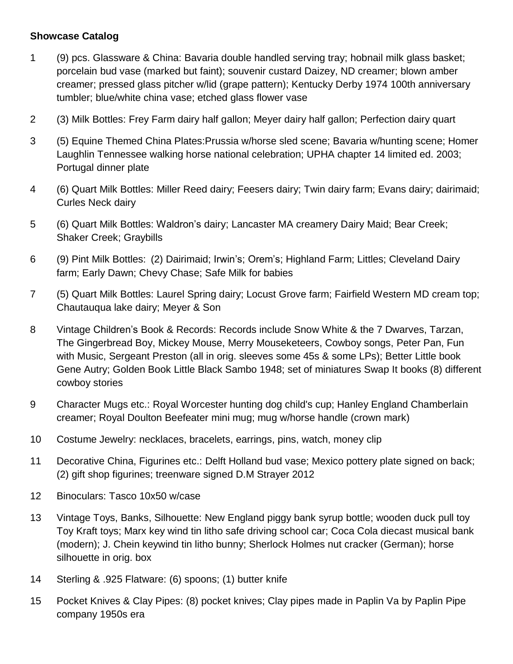## **Showcase Catalog**

- 1 (9) pcs. Glassware & China: Bavaria double handled serving tray; hobnail milk glass basket; porcelain bud vase (marked but faint); souvenir custard Daizey, ND creamer; blown amber creamer; pressed glass pitcher w/lid (grape pattern); Kentucky Derby 1974 100th anniversary tumbler; blue/white china vase; etched glass flower vase
- 2 (3) Milk Bottles: Frey Farm dairy half gallon; Meyer dairy half gallon; Perfection dairy quart
- 3 (5) Equine Themed China Plates:Prussia w/horse sled scene; Bavaria w/hunting scene; Homer Laughlin Tennessee walking horse national celebration; UPHA chapter 14 limited ed. 2003; Portugal dinner plate
- 4 (6) Quart Milk Bottles: Miller Reed dairy; Feesers dairy; Twin dairy farm; Evans dairy; dairimaid; Curles Neck dairy
- 5 (6) Quart Milk Bottles: Waldron's dairy; Lancaster MA creamery Dairy Maid; Bear Creek; Shaker Creek; Graybills
- 6 (9) Pint Milk Bottles: (2) Dairimaid; Irwin's; Orem's; Highland Farm; Littles; Cleveland Dairy farm; Early Dawn; Chevy Chase; Safe Milk for babies
- 7 (5) Quart Milk Bottles: Laurel Spring dairy; Locust Grove farm; Fairfield Western MD cream top; Chautauqua lake dairy; Meyer & Son
- 8 Vintage Children's Book & Records: Records include Snow White & the 7 Dwarves, Tarzan, The Gingerbread Boy, Mickey Mouse, Merry Mouseketeers, Cowboy songs, Peter Pan, Fun with Music, Sergeant Preston (all in orig. sleeves some 45s & some LPs); Better Little book Gene Autry; Golden Book Little Black Sambo 1948; set of miniatures Swap It books (8) different cowboy stories
- 9 Character Mugs etc.: Royal Worcester hunting dog child's cup; Hanley England Chamberlain creamer; Royal Doulton Beefeater mini mug; mug w/horse handle (crown mark)
- 10 Costume Jewelry: necklaces, bracelets, earrings, pins, watch, money clip
- 11 Decorative China, Figurines etc.: Delft Holland bud vase; Mexico pottery plate signed on back; (2) gift shop figurines; treenware signed D.M Strayer 2012
- 12 Binoculars: Tasco 10x50 w/case
- 13 Vintage Toys, Banks, Silhouette: New England piggy bank syrup bottle; wooden duck pull toy Toy Kraft toys; Marx key wind tin litho safe driving school car; Coca Cola diecast musical bank (modern); J. Chein keywind tin litho bunny; Sherlock Holmes nut cracker (German); horse silhouette in orig. box
- 14 Sterling & .925 Flatware: (6) spoons; (1) butter knife
- 15 Pocket Knives & Clay Pipes: (8) pocket knives; Clay pipes made in Paplin Va by Paplin Pipe company 1950s era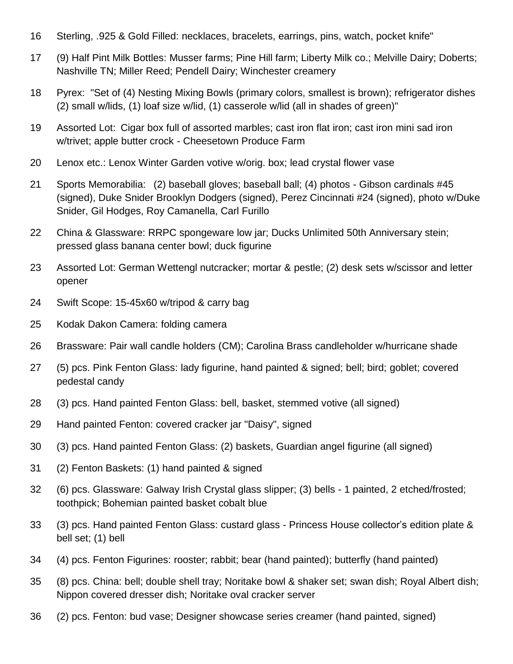- Sterling, .925 & Gold Filled: necklaces, bracelets, earrings, pins, watch, pocket knife"
- (9) Half Pint Milk Bottles: Musser farms; Pine Hill farm; Liberty Milk co.; Melville Dairy; Doberts; Nashville TN; Miller Reed; Pendell Dairy; Winchester creamery
- Pyrex: "Set of (4) Nesting Mixing Bowls (primary colors, smallest is brown); refrigerator dishes (2) small w/lids, (1) loaf size w/lid, (1) casserole w/lid (all in shades of green)"
- Assorted Lot: Cigar box full of assorted marbles; cast iron flat iron; cast iron mini sad iron w/trivet; apple butter crock - Cheesetown Produce Farm
- Lenox etc.: Lenox Winter Garden votive w/orig. box; lead crystal flower vase
- Sports Memorabilia: (2) baseball gloves; baseball ball; (4) photos Gibson cardinals #45 (signed), Duke Snider Brooklyn Dodgers (signed), Perez Cincinnati #24 (signed), photo w/Duke Snider, Gil Hodges, Roy Camanella, Carl Furillo
- China & Glassware: RRPC spongeware low jar; Ducks Unlimited 50th Anniversary stein; pressed glass banana center bowl; duck figurine
- Assorted Lot: German Wettengl nutcracker; mortar & pestle; (2) desk sets w/scissor and letter opener
- Swift Scope: 15-45x60 w/tripod & carry bag
- Kodak Dakon Camera: folding camera
- Brassware: Pair wall candle holders (CM); Carolina Brass candleholder w/hurricane shade
- (5) pcs. Pink Fenton Glass: lady figurine, hand painted & signed; bell; bird; goblet; covered pedestal candy
- (3) pcs. Hand painted Fenton Glass: bell, basket, stemmed votive (all signed)
- Hand painted Fenton: covered cracker jar "Daisy", signed
- (3) pcs. Hand painted Fenton Glass: (2) baskets, Guardian angel figurine (all signed)
- (2) Fenton Baskets: (1) hand painted & signed
- (6) pcs. Glassware: Galway Irish Crystal glass slipper; (3) bells 1 painted, 2 etched/frosted; toothpick; Bohemian painted basket cobalt blue
- (3) pcs. Hand painted Fenton Glass: custard glass Princess House collector's edition plate & bell set; (1) bell
- (4) pcs. Fenton Figurines: rooster; rabbit; bear (hand painted); butterfly (hand painted)
- (8) pcs. China: bell; double shell tray; Noritake bowl & shaker set; swan dish; Royal Albert dish; Nippon covered dresser dish; Noritake oval cracker server
- (2) pcs. Fenton: bud vase; Designer showcase series creamer (hand painted, signed)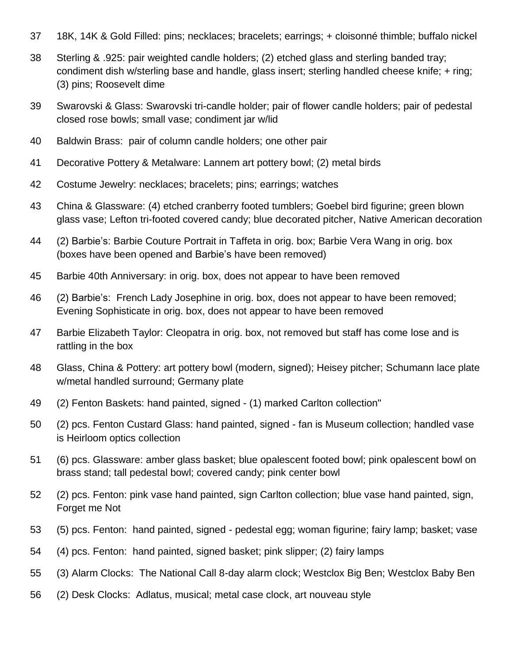- 18K, 14K & Gold Filled: pins; necklaces; bracelets; earrings; + cloisonné thimble; buffalo nickel
- Sterling & .925: pair weighted candle holders; (2) etched glass and sterling banded tray; condiment dish w/sterling base and handle, glass insert; sterling handled cheese knife; + ring; (3) pins; Roosevelt dime
- Swarovski & Glass: Swarovski tri-candle holder; pair of flower candle holders; pair of pedestal closed rose bowls; small vase; condiment jar w/lid
- Baldwin Brass: pair of column candle holders; one other pair
- Decorative Pottery & Metalware: Lannem art pottery bowl; (2) metal birds
- Costume Jewelry: necklaces; bracelets; pins; earrings; watches
- China & Glassware: (4) etched cranberry footed tumblers; Goebel bird figurine; green blown glass vase; Lefton tri-footed covered candy; blue decorated pitcher, Native American decoration
- (2) Barbie's: Barbie Couture Portrait in Taffeta in orig. box; Barbie Vera Wang in orig. box (boxes have been opened and Barbie's have been removed)
- Barbie 40th Anniversary: in orig. box, does not appear to have been removed
- (2) Barbie's: French Lady Josephine in orig. box, does not appear to have been removed; Evening Sophisticate in orig. box, does not appear to have been removed
- Barbie Elizabeth Taylor: Cleopatra in orig. box, not removed but staff has come lose and is rattling in the box
- Glass, China & Pottery: art pottery bowl (modern, signed); Heisey pitcher; Schumann lace plate w/metal handled surround; Germany plate
- (2) Fenton Baskets: hand painted, signed (1) marked Carlton collection"
- (2) pcs. Fenton Custard Glass: hand painted, signed fan is Museum collection; handled vase is Heirloom optics collection
- (6) pcs. Glassware: amber glass basket; blue opalescent footed bowl; pink opalescent bowl on brass stand; tall pedestal bowl; covered candy; pink center bowl
- (2) pcs. Fenton: pink vase hand painted, sign Carlton collection; blue vase hand painted, sign, Forget me Not
- (5) pcs. Fenton: hand painted, signed pedestal egg; woman figurine; fairy lamp; basket; vase
- (4) pcs. Fenton: hand painted, signed basket; pink slipper; (2) fairy lamps
- (3) Alarm Clocks: The National Call 8-day alarm clock; Westclox Big Ben; Westclox Baby Ben
- (2) Desk Clocks: Adlatus, musical; metal case clock, art nouveau style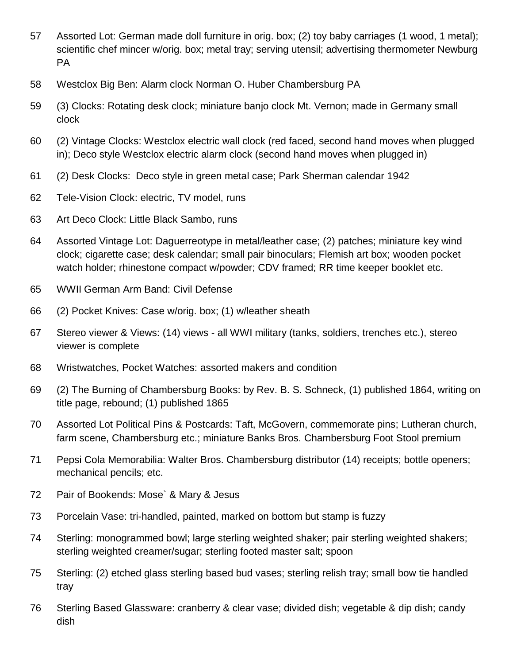- Assorted Lot: German made doll furniture in orig. box; (2) toy baby carriages (1 wood, 1 metal); scientific chef mincer w/orig. box; metal tray; serving utensil; advertising thermometer Newburg PA
- Westclox Big Ben: Alarm clock Norman O. Huber Chambersburg PA
- (3) Clocks: Rotating desk clock; miniature banjo clock Mt. Vernon; made in Germany small clock
- (2) Vintage Clocks: Westclox electric wall clock (red faced, second hand moves when plugged in); Deco style Westclox electric alarm clock (second hand moves when plugged in)
- (2) Desk Clocks: Deco style in green metal case; Park Sherman calendar 1942
- Tele-Vision Clock: electric, TV model, runs
- Art Deco Clock: Little Black Sambo, runs
- Assorted Vintage Lot: Daguerreotype in metal/leather case; (2) patches; miniature key wind clock; cigarette case; desk calendar; small pair binoculars; Flemish art box; wooden pocket watch holder; rhinestone compact w/powder; CDV framed; RR time keeper booklet etc.
- WWII German Arm Band: Civil Defense
- (2) Pocket Knives: Case w/orig. box; (1) w/leather sheath
- Stereo viewer & Views: (14) views all WWI military (tanks, soldiers, trenches etc.), stereo viewer is complete
- Wristwatches, Pocket Watches: assorted makers and condition
- (2) The Burning of Chambersburg Books: by Rev. B. S. Schneck, (1) published 1864, writing on title page, rebound; (1) published 1865
- Assorted Lot Political Pins & Postcards: Taft, McGovern, commemorate pins; Lutheran church, farm scene, Chambersburg etc.; miniature Banks Bros. Chambersburg Foot Stool premium
- Pepsi Cola Memorabilia: Walter Bros. Chambersburg distributor (14) receipts; bottle openers; mechanical pencils; etc.
- Pair of Bookends: Mose` & Mary & Jesus
- Porcelain Vase: tri-handled, painted, marked on bottom but stamp is fuzzy
- Sterling: monogrammed bowl; large sterling weighted shaker; pair sterling weighted shakers; sterling weighted creamer/sugar; sterling footed master salt; spoon
- Sterling: (2) etched glass sterling based bud vases; sterling relish tray; small bow tie handled tray
- Sterling Based Glassware: cranberry & clear vase; divided dish; vegetable & dip dish; candy dish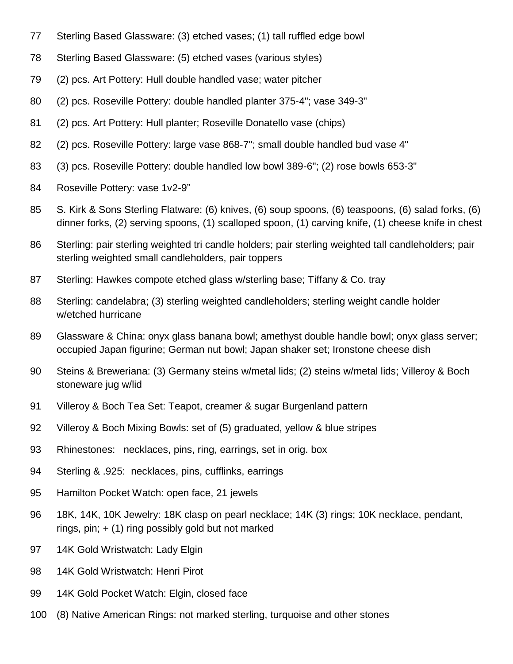- Sterling Based Glassware: (3) etched vases; (1) tall ruffled edge bowl
- Sterling Based Glassware: (5) etched vases (various styles)
- (2) pcs. Art Pottery: Hull double handled vase; water pitcher
- (2) pcs. Roseville Pottery: double handled planter 375-4"; vase 349-3"
- (2) pcs. Art Pottery: Hull planter; Roseville Donatello vase (chips)
- (2) pcs. Roseville Pottery: large vase 868-7"; small double handled bud vase 4"
- (3) pcs. Roseville Pottery: double handled low bowl 389-6"; (2) rose bowls 653-3"
- Roseville Pottery: vase 1v2-9"
- S. Kirk & Sons Sterling Flatware: (6) knives, (6) soup spoons, (6) teaspoons, (6) salad forks, (6) dinner forks, (2) serving spoons, (1) scalloped spoon, (1) carving knife, (1) cheese knife in chest
- Sterling: pair sterling weighted tri candle holders; pair sterling weighted tall candleholders; pair sterling weighted small candleholders, pair toppers
- Sterling: Hawkes compote etched glass w/sterling base; Tiffany & Co. tray
- Sterling: candelabra; (3) sterling weighted candleholders; sterling weight candle holder w/etched hurricane
- Glassware & China: onyx glass banana bowl; amethyst double handle bowl; onyx glass server; occupied Japan figurine; German nut bowl; Japan shaker set; Ironstone cheese dish
- Steins & Breweriana: (3) Germany steins w/metal lids; (2) steins w/metal lids; Villeroy & Boch stoneware jug w/lid
- Villeroy & Boch Tea Set: Teapot, creamer & sugar Burgenland pattern
- Villeroy & Boch Mixing Bowls: set of (5) graduated, yellow & blue stripes
- Rhinestones: necklaces, pins, ring, earrings, set in orig. box
- Sterling & .925: necklaces, pins, cufflinks, earrings
- Hamilton Pocket Watch: open face, 21 jewels
- 18K, 14K, 10K Jewelry: 18K clasp on pearl necklace; 14K (3) rings; 10K necklace, pendant, rings, pin;  $+$  (1) ring possibly gold but not marked
- 14K Gold Wristwatch: Lady Elgin
- 14K Gold Wristwatch: Henri Pirot
- 14K Gold Pocket Watch: Elgin, closed face
- (8) Native American Rings: not marked sterling, turquoise and other stones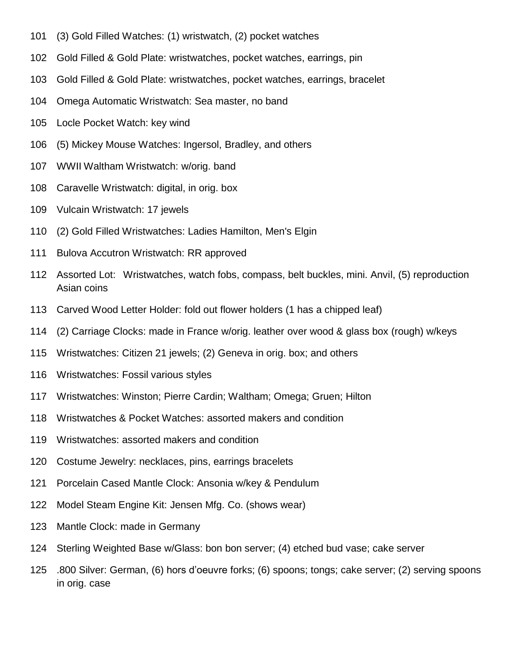- (3) Gold Filled Watches: (1) wristwatch, (2) pocket watches
- Gold Filled & Gold Plate: wristwatches, pocket watches, earrings, pin
- Gold Filled & Gold Plate: wristwatches, pocket watches, earrings, bracelet
- Omega Automatic Wristwatch: Sea master, no band
- Locle Pocket Watch: key wind
- (5) Mickey Mouse Watches: Ingersol, Bradley, and others
- WWII Waltham Wristwatch: w/orig. band
- Caravelle Wristwatch: digital, in orig. box
- Vulcain Wristwatch: 17 jewels
- (2) Gold Filled Wristwatches: Ladies Hamilton, Men's Elgin
- Bulova Accutron Wristwatch: RR approved
- Assorted Lot: Wristwatches, watch fobs, compass, belt buckles, mini. Anvil, (5) reproduction Asian coins
- Carved Wood Letter Holder: fold out flower holders (1 has a chipped leaf)
- (2) Carriage Clocks: made in France w/orig. leather over wood & glass box (rough) w/keys
- Wristwatches: Citizen 21 jewels; (2) Geneva in orig. box; and others
- Wristwatches: Fossil various styles
- Wristwatches: Winston; Pierre Cardin; Waltham; Omega; Gruen; Hilton
- Wristwatches & Pocket Watches: assorted makers and condition
- Wristwatches: assorted makers and condition
- Costume Jewelry: necklaces, pins, earrings bracelets
- Porcelain Cased Mantle Clock: Ansonia w/key & Pendulum
- Model Steam Engine Kit: Jensen Mfg. Co. (shows wear)
- Mantle Clock: made in Germany
- Sterling Weighted Base w/Glass: bon bon server; (4) etched bud vase; cake server
- .800 Silver: German, (6) hors d'oeuvre forks; (6) spoons; tongs; cake server; (2) serving spoons in orig. case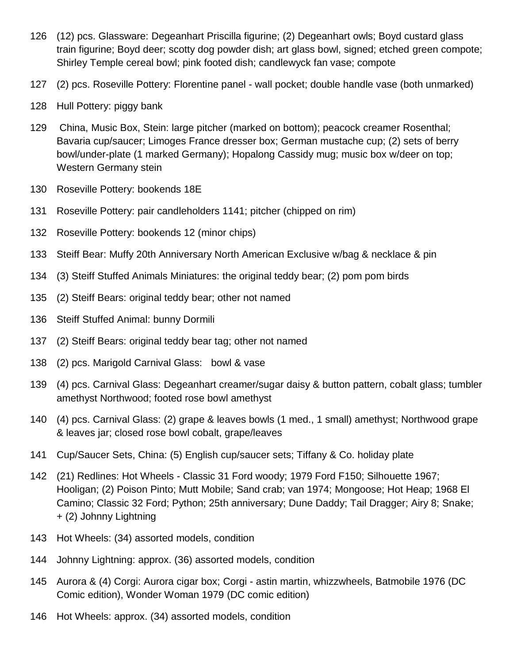- (12) pcs. Glassware: Degeanhart Priscilla figurine; (2) Degeanhart owls; Boyd custard glass train figurine; Boyd deer; scotty dog powder dish; art glass bowl, signed; etched green compote; Shirley Temple cereal bowl; pink footed dish; candlewyck fan vase; compote
- (2) pcs. Roseville Pottery: Florentine panel wall pocket; double handle vase (both unmarked)
- Hull Pottery: piggy bank
- China, Music Box, Stein: large pitcher (marked on bottom); peacock creamer Rosenthal; Bavaria cup/saucer; Limoges France dresser box; German mustache cup; (2) sets of berry bowl/under-plate (1 marked Germany); Hopalong Cassidy mug; music box w/deer on top; Western Germany stein
- Roseville Pottery: bookends 18E
- Roseville Pottery: pair candleholders 1141; pitcher (chipped on rim)
- Roseville Pottery: bookends 12 (minor chips)
- Steiff Bear: Muffy 20th Anniversary North American Exclusive w/bag & necklace & pin
- (3) Steiff Stuffed Animals Miniatures: the original teddy bear; (2) pom pom birds
- (2) Steiff Bears: original teddy bear; other not named
- Steiff Stuffed Animal: bunny Dormili
- (2) Steiff Bears: original teddy bear tag; other not named
- (2) pcs. Marigold Carnival Glass: bowl & vase
- (4) pcs. Carnival Glass: Degeanhart creamer/sugar daisy & button pattern, cobalt glass; tumbler amethyst Northwood; footed rose bowl amethyst
- (4) pcs. Carnival Glass: (2) grape & leaves bowls (1 med., 1 small) amethyst; Northwood grape & leaves jar; closed rose bowl cobalt, grape/leaves
- Cup/Saucer Sets, China: (5) English cup/saucer sets; Tiffany & Co. holiday plate
- (21) Redlines: Hot Wheels Classic 31 Ford woody; 1979 Ford F150; Silhouette 1967; Hooligan; (2) Poison Pinto; Mutt Mobile; Sand crab; van 1974; Mongoose; Hot Heap; 1968 El Camino; Classic 32 Ford; Python; 25th anniversary; Dune Daddy; Tail Dragger; Airy 8; Snake; + (2) Johnny Lightning
- Hot Wheels: (34) assorted models, condition
- Johnny Lightning: approx. (36) assorted models, condition
- Aurora & (4) Corgi: Aurora cigar box; Corgi astin martin, whizzwheels, Batmobile 1976 (DC Comic edition), Wonder Woman 1979 (DC comic edition)
- Hot Wheels: approx. (34) assorted models, condition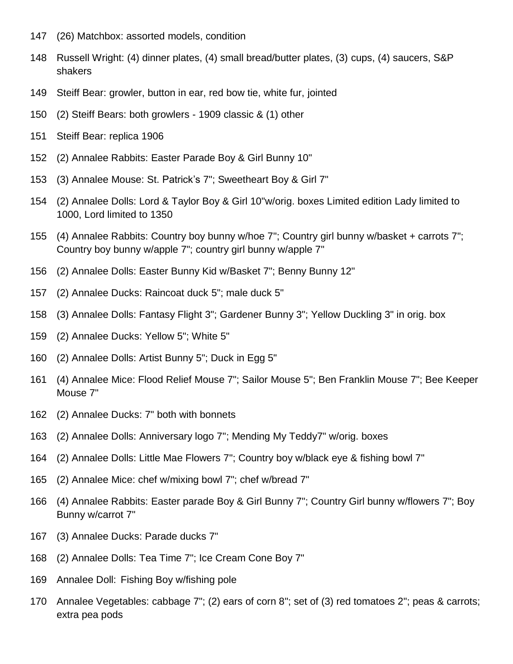- (26) Matchbox: assorted models, condition
- Russell Wright: (4) dinner plates, (4) small bread/butter plates, (3) cups, (4) saucers, S&P shakers
- Steiff Bear: growler, button in ear, red bow tie, white fur, jointed
- (2) Steiff Bears: both growlers 1909 classic & (1) other
- Steiff Bear: replica 1906
- (2) Annalee Rabbits: Easter Parade Boy & Girl Bunny 10"
- (3) Annalee Mouse: St. Patrick's 7"; Sweetheart Boy & Girl 7"
- (2) Annalee Dolls: Lord & Taylor Boy & Girl 10"w/orig. boxes Limited edition Lady limited to 1000, Lord limited to 1350
- (4) Annalee Rabbits: Country boy bunny w/hoe 7"; Country girl bunny w/basket + carrots 7"; Country boy bunny w/apple 7"; country girl bunny w/apple 7"
- (2) Annalee Dolls: Easter Bunny Kid w/Basket 7"; Benny Bunny 12"
- (2) Annalee Ducks: Raincoat duck 5"; male duck 5"
- (3) Annalee Dolls: Fantasy Flight 3"; Gardener Bunny 3"; Yellow Duckling 3" in orig. box
- (2) Annalee Ducks: Yellow 5"; White 5"
- (2) Annalee Dolls: Artist Bunny 5"; Duck in Egg 5"
- (4) Annalee Mice: Flood Relief Mouse 7"; Sailor Mouse 5"; Ben Franklin Mouse 7"; Bee Keeper Mouse 7"
- (2) Annalee Ducks: 7" both with bonnets
- (2) Annalee Dolls: Anniversary logo 7"; Mending My Teddy7" w/orig. boxes
- (2) Annalee Dolls: Little Mae Flowers 7"; Country boy w/black eye & fishing bowl 7"
- (2) Annalee Mice: chef w/mixing bowl 7"; chef w/bread 7"
- (4) Annalee Rabbits: Easter parade Boy & Girl Bunny 7"; Country Girl bunny w/flowers 7"; Boy Bunny w/carrot 7"
- (3) Annalee Ducks: Parade ducks 7"
- (2) Annalee Dolls: Tea Time 7"; Ice Cream Cone Boy 7"
- Annalee Doll: Fishing Boy w/fishing pole
- Annalee Vegetables: cabbage 7"; (2) ears of corn 8"; set of (3) red tomatoes 2"; peas & carrots; extra pea pods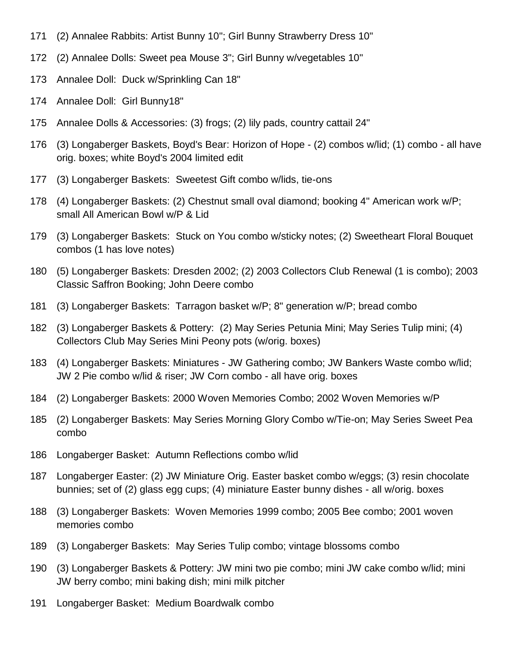- (2) Annalee Rabbits: Artist Bunny 10"; Girl Bunny Strawberry Dress 10"
- (2) Annalee Dolls: Sweet pea Mouse 3"; Girl Bunny w/vegetables 10"
- Annalee Doll: Duck w/Sprinkling Can 18"
- Annalee Doll: Girl Bunny18"
- Annalee Dolls & Accessories: (3) frogs; (2) lily pads, country cattail 24"
- 176 (3) Longaberger Baskets, Boyd's Bear: Horizon of Hope (2) combos w/lid; (1) combo all have orig. boxes; white Boyd's 2004 limited edit
- (3) Longaberger Baskets: Sweetest Gift combo w/lids, tie-ons
- (4) Longaberger Baskets: (2) Chestnut small oval diamond; booking 4" American work w/P; small All American Bowl w/P & Lid
- (3) Longaberger Baskets: Stuck on You combo w/sticky notes; (2) Sweetheart Floral Bouquet combos (1 has love notes)
- (5) Longaberger Baskets: Dresden 2002; (2) 2003 Collectors Club Renewal (1 is combo); 2003 Classic Saffron Booking; John Deere combo
- (3) Longaberger Baskets: Tarragon basket w/P; 8" generation w/P; bread combo
- (3) Longaberger Baskets & Pottery: (2) May Series Petunia Mini; May Series Tulip mini; (4) Collectors Club May Series Mini Peony pots (w/orig. boxes)
- (4) Longaberger Baskets: Miniatures JW Gathering combo; JW Bankers Waste combo w/lid; JW 2 Pie combo w/lid & riser; JW Corn combo - all have orig. boxes
- (2) Longaberger Baskets: 2000 Woven Memories Combo; 2002 Woven Memories w/P
- (2) Longaberger Baskets: May Series Morning Glory Combo w/Tie-on; May Series Sweet Pea combo
- Longaberger Basket: Autumn Reflections combo w/lid
- Longaberger Easter: (2) JW Miniature Orig. Easter basket combo w/eggs; (3) resin chocolate bunnies; set of (2) glass egg cups; (4) miniature Easter bunny dishes - all w/orig. boxes
- (3) Longaberger Baskets: Woven Memories 1999 combo; 2005 Bee combo; 2001 woven memories combo
- (3) Longaberger Baskets: May Series Tulip combo; vintage blossoms combo
- (3) Longaberger Baskets & Pottery: JW mini two pie combo; mini JW cake combo w/lid; mini JW berry combo; mini baking dish; mini milk pitcher
- Longaberger Basket: Medium Boardwalk combo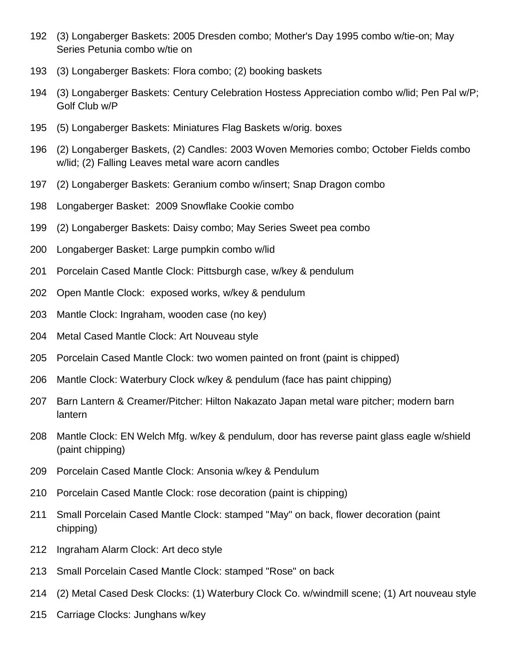- (3) Longaberger Baskets: 2005 Dresden combo; Mother's Day 1995 combo w/tie-on; May Series Petunia combo w/tie on
- (3) Longaberger Baskets: Flora combo; (2) booking baskets
- (3) Longaberger Baskets: Century Celebration Hostess Appreciation combo w/lid; Pen Pal w/P; Golf Club w/P
- (5) Longaberger Baskets: Miniatures Flag Baskets w/orig. boxes
- (2) Longaberger Baskets, (2) Candles: 2003 Woven Memories combo; October Fields combo w/lid; (2) Falling Leaves metal ware acorn candles
- (2) Longaberger Baskets: Geranium combo w/insert; Snap Dragon combo
- Longaberger Basket: 2009 Snowflake Cookie combo
- (2) Longaberger Baskets: Daisy combo; May Series Sweet pea combo
- Longaberger Basket: Large pumpkin combo w/lid
- Porcelain Cased Mantle Clock: Pittsburgh case, w/key & pendulum
- Open Mantle Clock: exposed works, w/key & pendulum
- Mantle Clock: Ingraham, wooden case (no key)
- Metal Cased Mantle Clock: Art Nouveau style
- Porcelain Cased Mantle Clock: two women painted on front (paint is chipped)
- Mantle Clock: Waterbury Clock w/key & pendulum (face has paint chipping)
- Barn Lantern & Creamer/Pitcher: Hilton Nakazato Japan metal ware pitcher; modern barn lantern
- Mantle Clock: EN Welch Mfg. w/key & pendulum, door has reverse paint glass eagle w/shield (paint chipping)
- Porcelain Cased Mantle Clock: Ansonia w/key & Pendulum
- Porcelain Cased Mantle Clock: rose decoration (paint is chipping)
- Small Porcelain Cased Mantle Clock: stamped "May" on back, flower decoration (paint chipping)
- Ingraham Alarm Clock: Art deco style
- Small Porcelain Cased Mantle Clock: stamped "Rose" on back
- (2) Metal Cased Desk Clocks: (1) Waterbury Clock Co. w/windmill scene; (1) Art nouveau style
- Carriage Clocks: Junghans w/key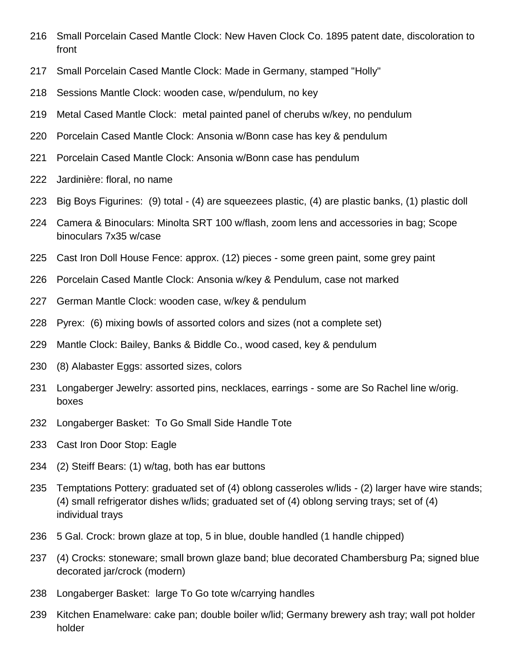- Small Porcelain Cased Mantle Clock: New Haven Clock Co. 1895 patent date, discoloration to front
- Small Porcelain Cased Mantle Clock: Made in Germany, stamped "Holly"
- Sessions Mantle Clock: wooden case, w/pendulum, no key
- Metal Cased Mantle Clock: metal painted panel of cherubs w/key, no pendulum
- Porcelain Cased Mantle Clock: Ansonia w/Bonn case has key & pendulum
- Porcelain Cased Mantle Clock: Ansonia w/Bonn case has pendulum
- Jardinière: floral, no name
- Big Boys Figurines: (9) total (4) are squeezees plastic, (4) are plastic banks, (1) plastic doll
- Camera & Binoculars: Minolta SRT 100 w/flash, zoom lens and accessories in bag; Scope binoculars 7x35 w/case
- Cast Iron Doll House Fence: approx. (12) pieces some green paint, some grey paint
- Porcelain Cased Mantle Clock: Ansonia w/key & Pendulum, case not marked
- German Mantle Clock: wooden case, w/key & pendulum
- Pyrex: (6) mixing bowls of assorted colors and sizes (not a complete set)
- Mantle Clock: Bailey, Banks & Biddle Co., wood cased, key & pendulum
- (8) Alabaster Eggs: assorted sizes, colors
- Longaberger Jewelry: assorted pins, necklaces, earrings some are So Rachel line w/orig. boxes
- Longaberger Basket: To Go Small Side Handle Tote
- Cast Iron Door Stop: Eagle
- (2) Steiff Bears: (1) w/tag, both has ear buttons
- Temptations Pottery: graduated set of (4) oblong casseroles w/lids (2) larger have wire stands; (4) small refrigerator dishes w/lids; graduated set of (4) oblong serving trays; set of (4) individual trays
- 5 Gal. Crock: brown glaze at top, 5 in blue, double handled (1 handle chipped)
- (4) Crocks: stoneware; small brown glaze band; blue decorated Chambersburg Pa; signed blue decorated jar/crock (modern)
- Longaberger Basket: large To Go tote w/carrying handles
- Kitchen Enamelware: cake pan; double boiler w/lid; Germany brewery ash tray; wall pot holder holder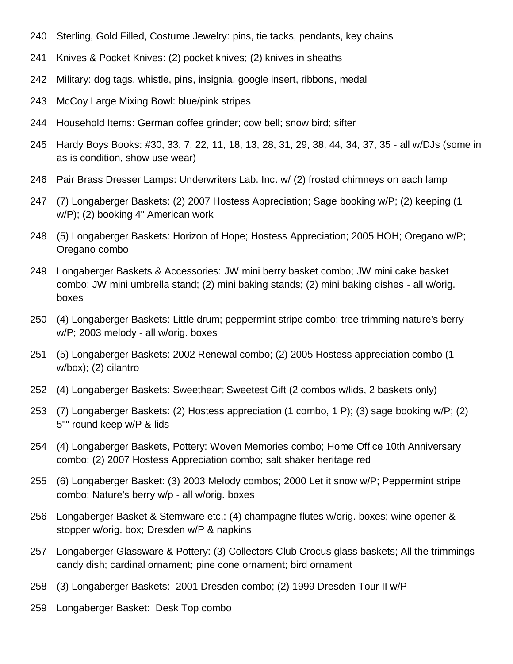- Sterling, Gold Filled, Costume Jewelry: pins, tie tacks, pendants, key chains
- Knives & Pocket Knives: (2) pocket knives; (2) knives in sheaths
- Military: dog tags, whistle, pins, insignia, google insert, ribbons, medal
- McCoy Large Mixing Bowl: blue/pink stripes
- Household Items: German coffee grinder; cow bell; snow bird; sifter
- Hardy Boys Books: #30, 33, 7, 22, 11, 18, 13, 28, 31, 29, 38, 44, 34, 37, 35 all w/DJs (some in as is condition, show use wear)
- Pair Brass Dresser Lamps: Underwriters Lab. Inc. w/ (2) frosted chimneys on each lamp
- (7) Longaberger Baskets: (2) 2007 Hostess Appreciation; Sage booking w/P; (2) keeping (1 w/P); (2) booking 4" American work
- (5) Longaberger Baskets: Horizon of Hope; Hostess Appreciation; 2005 HOH; Oregano w/P; Oregano combo
- Longaberger Baskets & Accessories: JW mini berry basket combo; JW mini cake basket combo; JW mini umbrella stand; (2) mini baking stands; (2) mini baking dishes - all w/orig. boxes
- (4) Longaberger Baskets: Little drum; peppermint stripe combo; tree trimming nature's berry w/P; 2003 melody - all w/orig. boxes
- (5) Longaberger Baskets: 2002 Renewal combo; (2) 2005 Hostess appreciation combo (1 w/box); (2) cilantro
- (4) Longaberger Baskets: Sweetheart Sweetest Gift (2 combos w/lids, 2 baskets only)
- (7) Longaberger Baskets: (2) Hostess appreciation (1 combo, 1 P); (3) sage booking w/P; (2) 5"" round keep w/P & lids
- (4) Longaberger Baskets, Pottery: Woven Memories combo; Home Office 10th Anniversary combo; (2) 2007 Hostess Appreciation combo; salt shaker heritage red
- (6) Longaberger Basket: (3) 2003 Melody combos; 2000 Let it snow w/P; Peppermint stripe combo; Nature's berry w/p - all w/orig. boxes
- Longaberger Basket & Stemware etc.: (4) champagne flutes w/orig. boxes; wine opener & stopper w/orig. box; Dresden w/P & napkins
- Longaberger Glassware & Pottery: (3) Collectors Club Crocus glass baskets; All the trimmings candy dish; cardinal ornament; pine cone ornament; bird ornament
- (3) Longaberger Baskets: 2001 Dresden combo; (2) 1999 Dresden Tour II w/P
- Longaberger Basket: Desk Top combo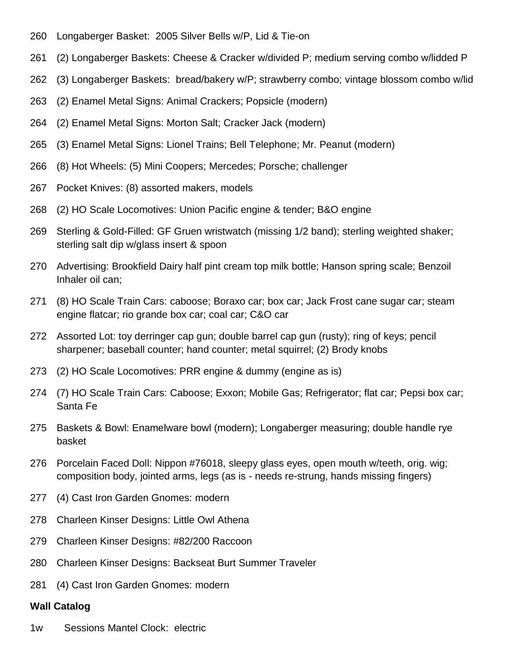- Longaberger Basket: 2005 Silver Bells w/P, Lid & Tie-on
- (2) Longaberger Baskets: Cheese & Cracker w/divided P; medium serving combo w/lidded P
- (3) Longaberger Baskets: bread/bakery w/P; strawberry combo; vintage blossom combo w/lid
- (2) Enamel Metal Signs: Animal Crackers; Popsicle (modern)
- (2) Enamel Metal Signs: Morton Salt; Cracker Jack (modern)
- (3) Enamel Metal Signs: Lionel Trains; Bell Telephone; Mr. Peanut (modern)
- (8) Hot Wheels: (5) Mini Coopers; Mercedes; Porsche; challenger
- Pocket Knives: (8) assorted makers, models
- (2) HO Scale Locomotives: Union Pacific engine & tender; B&O engine
- Sterling & Gold-Filled: GF Gruen wristwatch (missing 1/2 band); sterling weighted shaker; sterling salt dip w/glass insert & spoon
- Advertising: Brookfield Dairy half pint cream top milk bottle; Hanson spring scale; Benzoil Inhaler oil can;
- (8) HO Scale Train Cars: caboose; Boraxo car; box car; Jack Frost cane sugar car; steam engine flatcar; rio grande box car; coal car; C&O car
- Assorted Lot: toy derringer cap gun; double barrel cap gun (rusty); ring of keys; pencil sharpener; baseball counter; hand counter; metal squirrel; (2) Brody knobs
- (2) HO Scale Locomotives: PRR engine & dummy (engine as is)
- (7) HO Scale Train Cars: Caboose; Exxon; Mobile Gas; Refrigerator; flat car; Pepsi box car; Santa Fe
- Baskets & Bowl: Enamelware bowl (modern); Longaberger measuring; double handle rye basket
- Porcelain Faced Doll: Nippon #76018, sleepy glass eyes, open mouth w/teeth, orig. wig; composition body, jointed arms, legs (as is - needs re-strung, hands missing fingers)
- (4) Cast Iron Garden Gnomes: modern
- Charleen Kinser Designs: Little Owl Athena
- Charleen Kinser Designs: #82/200 Raccoon
- Charleen Kinser Designs: Backseat Burt Summer Traveler
- (4) Cast Iron Garden Gnomes: modern

## **Wall Catalog**

1w Sessions Mantel Clock: electric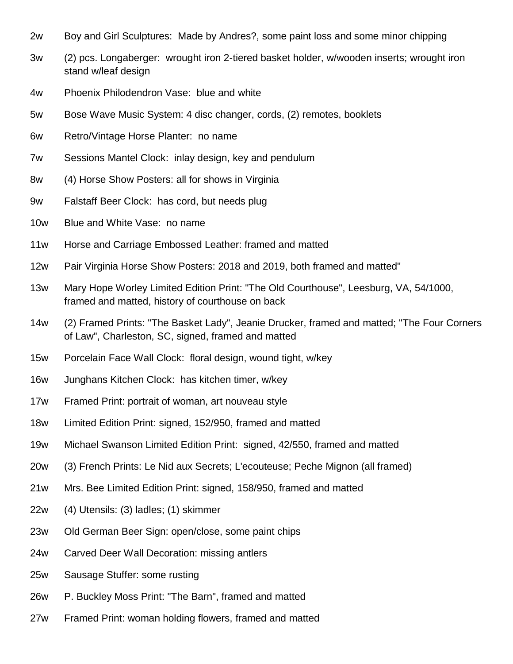- 2w Boy and Girl Sculptures: Made by Andres?, some paint loss and some minor chipping
- 3w (2) pcs. Longaberger: wrought iron 2-tiered basket holder, w/wooden inserts; wrought iron stand w/leaf design
- 4w Phoenix Philodendron Vase: blue and white
- 5w Bose Wave Music System: 4 disc changer, cords, (2) remotes, booklets
- 6w Retro/Vintage Horse Planter: no name
- 7w Sessions Mantel Clock: inlay design, key and pendulum
- 8w (4) Horse Show Posters: all for shows in Virginia
- 9w Falstaff Beer Clock: has cord, but needs plug
- 10w Blue and White Vase: no name
- 11w Horse and Carriage Embossed Leather: framed and matted
- 12w Pair Virginia Horse Show Posters: 2018 and 2019, both framed and matted"
- 13w Mary Hope Worley Limited Edition Print: "The Old Courthouse", Leesburg, VA, 54/1000, framed and matted, history of courthouse on back
- 14w (2) Framed Prints: "The Basket Lady", Jeanie Drucker, framed and matted; "The Four Corners of Law", Charleston, SC, signed, framed and matted
- 15w Porcelain Face Wall Clock: floral design, wound tight, w/key
- 16w Junghans Kitchen Clock: has kitchen timer, w/key
- 17w Framed Print: portrait of woman, art nouveau style
- 18w Limited Edition Print: signed, 152/950, framed and matted
- 19w Michael Swanson Limited Edition Print: signed, 42/550, framed and matted
- 20w (3) French Prints: Le Nid aux Secrets; L'ecouteuse; Peche Mignon (all framed)
- 21w Mrs. Bee Limited Edition Print: signed, 158/950, framed and matted
- 22w (4) Utensils: (3) ladles; (1) skimmer
- 23w Old German Beer Sign: open/close, some paint chips
- 24w Carved Deer Wall Decoration: missing antlers
- 25w Sausage Stuffer: some rusting
- 26w P. Buckley Moss Print: "The Barn", framed and matted
- 27w Framed Print: woman holding flowers, framed and matted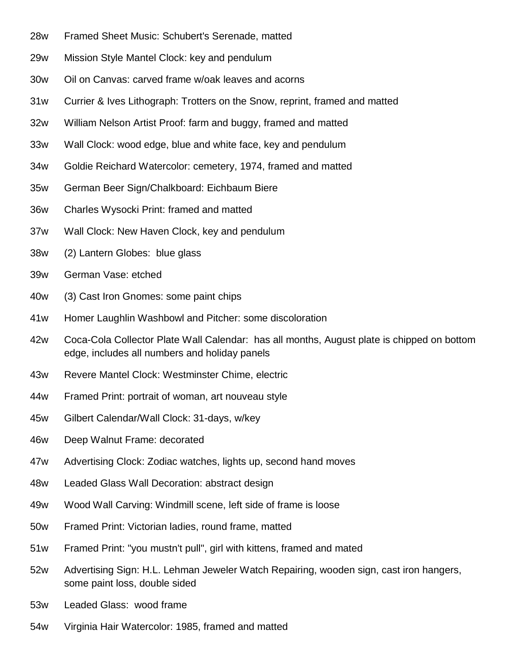- 28w Framed Sheet Music: Schubert's Serenade, matted
- 29w Mission Style Mantel Clock: key and pendulum
- 30w Oil on Canvas: carved frame w/oak leaves and acorns
- 31w Currier & Ives Lithograph: Trotters on the Snow, reprint, framed and matted
- 32w William Nelson Artist Proof: farm and buggy, framed and matted
- 33w Wall Clock: wood edge, blue and white face, key and pendulum
- 34w Goldie Reichard Watercolor: cemetery, 1974, framed and matted
- 35w German Beer Sign/Chalkboard: Eichbaum Biere
- 36w Charles Wysocki Print: framed and matted
- 37w Wall Clock: New Haven Clock, key and pendulum
- 38w (2) Lantern Globes: blue glass
- 39w German Vase: etched
- 40w (3) Cast Iron Gnomes: some paint chips
- 41w Homer Laughlin Washbowl and Pitcher: some discoloration
- 42w Coca-Cola Collector Plate Wall Calendar: has all months, August plate is chipped on bottom edge, includes all numbers and holiday panels
- 43w Revere Mantel Clock: Westminster Chime, electric
- 44w Framed Print: portrait of woman, art nouveau style
- 45w Gilbert Calendar/Wall Clock: 31-days, w/key
- 46w Deep Walnut Frame: decorated
- 47w Advertising Clock: Zodiac watches, lights up, second hand moves
- 48w Leaded Glass Wall Decoration: abstract design
- 49w Wood Wall Carving: Windmill scene, left side of frame is loose
- 50w Framed Print: Victorian ladies, round frame, matted
- 51w Framed Print: "you mustn't pull", girl with kittens, framed and mated
- 52w Advertising Sign: H.L. Lehman Jeweler Watch Repairing, wooden sign, cast iron hangers, some paint loss, double sided
- 53w Leaded Glass: wood frame
- 54w Virginia Hair Watercolor: 1985, framed and matted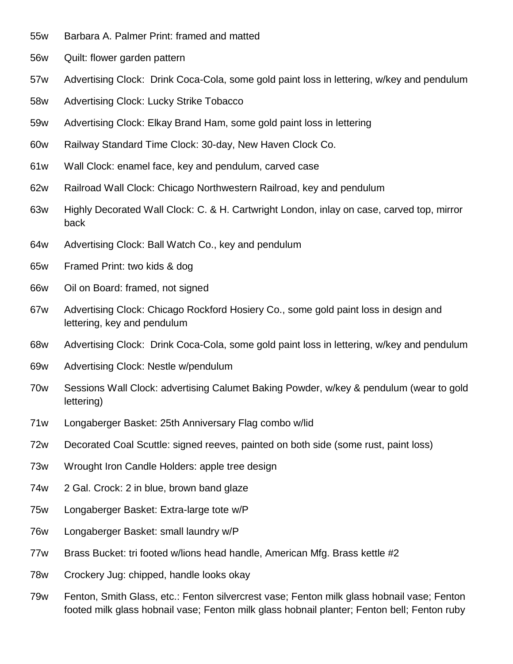- 55w Barbara A. Palmer Print: framed and matted
- 56w Quilt: flower garden pattern
- 57w Advertising Clock: Drink Coca-Cola, some gold paint loss in lettering, w/key and pendulum
- 58w Advertising Clock: Lucky Strike Tobacco
- 59w Advertising Clock: Elkay Brand Ham, some gold paint loss in lettering
- 60w Railway Standard Time Clock: 30-day, New Haven Clock Co.
- 61w Wall Clock: enamel face, key and pendulum, carved case
- 62w Railroad Wall Clock: Chicago Northwestern Railroad, key and pendulum
- 63w Highly Decorated Wall Clock: C. & H. Cartwright London, inlay on case, carved top, mirror back
- 64w Advertising Clock: Ball Watch Co., key and pendulum
- 65w Framed Print: two kids & dog
- 66w Oil on Board: framed, not signed
- 67w Advertising Clock: Chicago Rockford Hosiery Co., some gold paint loss in design and lettering, key and pendulum
- 68w Advertising Clock: Drink Coca-Cola, some gold paint loss in lettering, w/key and pendulum
- 69w Advertising Clock: Nestle w/pendulum
- 70w Sessions Wall Clock: advertising Calumet Baking Powder, w/key & pendulum (wear to gold lettering)
- 71w Longaberger Basket: 25th Anniversary Flag combo w/lid
- 72w Decorated Coal Scuttle: signed reeves, painted on both side (some rust, paint loss)
- 73w Wrought Iron Candle Holders: apple tree design
- 74w 2 Gal. Crock: 2 in blue, brown band glaze
- 75w Longaberger Basket: Extra-large tote w/P
- 76w Longaberger Basket: small laundry w/P
- 77w Brass Bucket: tri footed w/lions head handle, American Mfg. Brass kettle #2
- 78w Crockery Jug: chipped, handle looks okay
- 79w Fenton, Smith Glass, etc.: Fenton silvercrest vase; Fenton milk glass hobnail vase; Fenton footed milk glass hobnail vase; Fenton milk glass hobnail planter; Fenton bell; Fenton ruby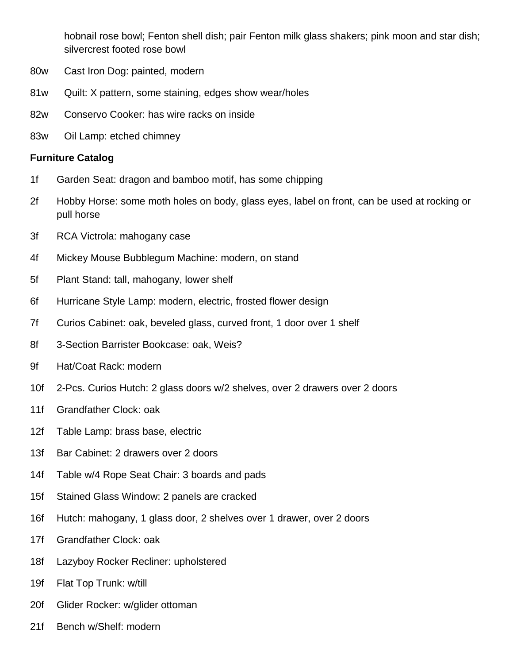hobnail rose bowl; Fenton shell dish; pair Fenton milk glass shakers; pink moon and star dish; silvercrest footed rose bowl

- 80w Cast Iron Dog: painted, modern
- 81w Quilt: X pattern, some staining, edges show wear/holes
- 82w Conservo Cooker: has wire racks on inside
- 83w Oil Lamp: etched chimney

## **Furniture Catalog**

- 1f Garden Seat: dragon and bamboo motif, has some chipping
- 2f Hobby Horse: some moth holes on body, glass eyes, label on front, can be used at rocking or pull horse
- 3f RCA Victrola: mahogany case
- 4f Mickey Mouse Bubblegum Machine: modern, on stand
- 5f Plant Stand: tall, mahogany, lower shelf
- 6f Hurricane Style Lamp: modern, electric, frosted flower design
- 7f Curios Cabinet: oak, beveled glass, curved front, 1 door over 1 shelf
- 8f 3-Section Barrister Bookcase: oak, Weis?
- 9f Hat/Coat Rack: modern
- 10f 2-Pcs. Curios Hutch: 2 glass doors w/2 shelves, over 2 drawers over 2 doors
- 11f Grandfather Clock: oak
- 12f Table Lamp: brass base, electric
- 13f Bar Cabinet: 2 drawers over 2 doors
- 14f Table w/4 Rope Seat Chair: 3 boards and pads
- 15f Stained Glass Window: 2 panels are cracked
- 16f Hutch: mahogany, 1 glass door, 2 shelves over 1 drawer, over 2 doors
- 17f Grandfather Clock: oak
- 18f Lazyboy Rocker Recliner: upholstered
- 19f Flat Top Trunk: w/till
- 20f Glider Rocker: w/glider ottoman
- 21f Bench w/Shelf: modern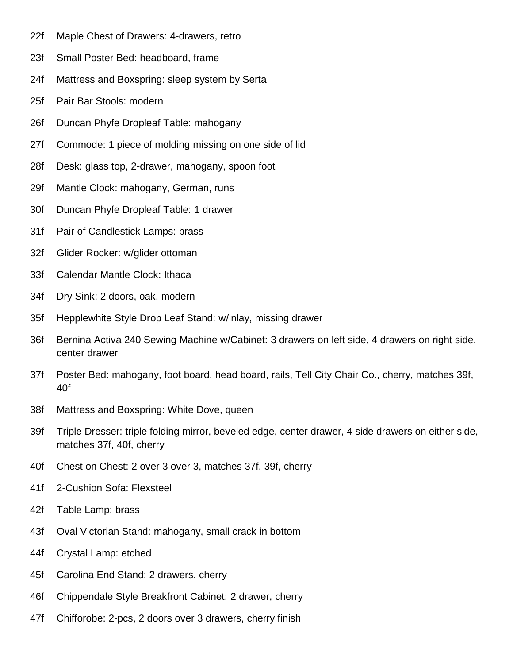- 22f Maple Chest of Drawers: 4-drawers, retro
- 23f Small Poster Bed: headboard, frame
- 24f Mattress and Boxspring: sleep system by Serta
- 25f Pair Bar Stools: modern
- 26f Duncan Phyfe Dropleaf Table: mahogany
- 27f Commode: 1 piece of molding missing on one side of lid
- 28f Desk: glass top, 2-drawer, mahogany, spoon foot
- 29f Mantle Clock: mahogany, German, runs
- 30f Duncan Phyfe Dropleaf Table: 1 drawer
- 31f Pair of Candlestick Lamps: brass
- 32f Glider Rocker: w/glider ottoman
- 33f Calendar Mantle Clock: Ithaca
- 34f Dry Sink: 2 doors, oak, modern
- 35f Hepplewhite Style Drop Leaf Stand: w/inlay, missing drawer
- 36f Bernina Activa 240 Sewing Machine w/Cabinet: 3 drawers on left side, 4 drawers on right side, center drawer
- 37f Poster Bed: mahogany, foot board, head board, rails, Tell City Chair Co., cherry, matches 39f, 40f
- 38f Mattress and Boxspring: White Dove, queen
- 39f Triple Dresser: triple folding mirror, beveled edge, center drawer, 4 side drawers on either side, matches 37f, 40f, cherry
- 40f Chest on Chest: 2 over 3 over 3, matches 37f, 39f, cherry
- 41f 2-Cushion Sofa: Flexsteel
- 42f Table Lamp: brass
- 43f Oval Victorian Stand: mahogany, small crack in bottom
- 44f Crystal Lamp: etched
- 45f Carolina End Stand: 2 drawers, cherry
- 46f Chippendale Style Breakfront Cabinet: 2 drawer, cherry
- 47f Chifforobe: 2-pcs, 2 doors over 3 drawers, cherry finish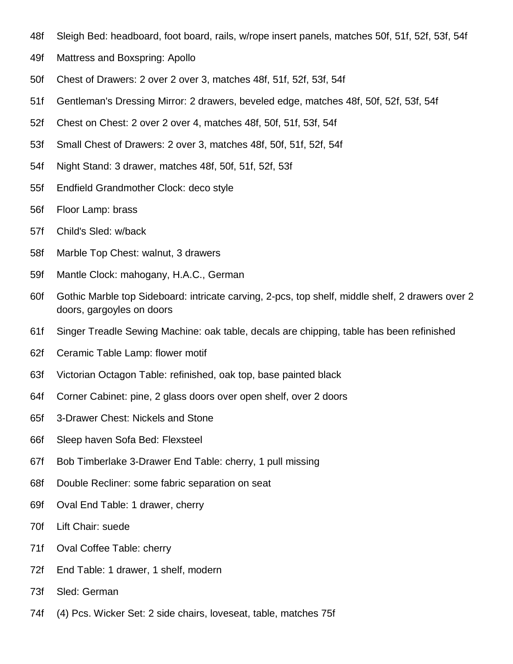- 48f Sleigh Bed: headboard, foot board, rails, w/rope insert panels, matches 50f, 51f, 52f, 53f, 54f
- 49f Mattress and Boxspring: Apollo
- 50f Chest of Drawers: 2 over 2 over 3, matches 48f, 51f, 52f, 53f, 54f
- 51f Gentleman's Dressing Mirror: 2 drawers, beveled edge, matches 48f, 50f, 52f, 53f, 54f
- 52f Chest on Chest: 2 over 2 over 4, matches 48f, 50f, 51f, 53f, 54f
- 53f Small Chest of Drawers: 2 over 3, matches 48f, 50f, 51f, 52f, 54f
- 54f Night Stand: 3 drawer, matches 48f, 50f, 51f, 52f, 53f
- 55f Endfield Grandmother Clock: deco style
- 56f Floor Lamp: brass
- 57f Child's Sled: w/back
- 58f Marble Top Chest: walnut, 3 drawers
- 59f Mantle Clock: mahogany, H.A.C., German
- 60f Gothic Marble top Sideboard: intricate carving, 2-pcs, top shelf, middle shelf, 2 drawers over 2 doors, gargoyles on doors
- 61f Singer Treadle Sewing Machine: oak table, decals are chipping, table has been refinished
- 62f Ceramic Table Lamp: flower motif
- 63f Victorian Octagon Table: refinished, oak top, base painted black
- 64f Corner Cabinet: pine, 2 glass doors over open shelf, over 2 doors
- 65f 3-Drawer Chest: Nickels and Stone
- 66f Sleep haven Sofa Bed: Flexsteel
- 67f Bob Timberlake 3-Drawer End Table: cherry, 1 pull missing
- 68f Double Recliner: some fabric separation on seat
- 69f Oval End Table: 1 drawer, cherry
- 70f Lift Chair: suede
- 71f Oval Coffee Table: cherry
- 72f End Table: 1 drawer, 1 shelf, modern
- 73f Sled: German
- 74f (4) Pcs. Wicker Set: 2 side chairs, loveseat, table, matches 75f